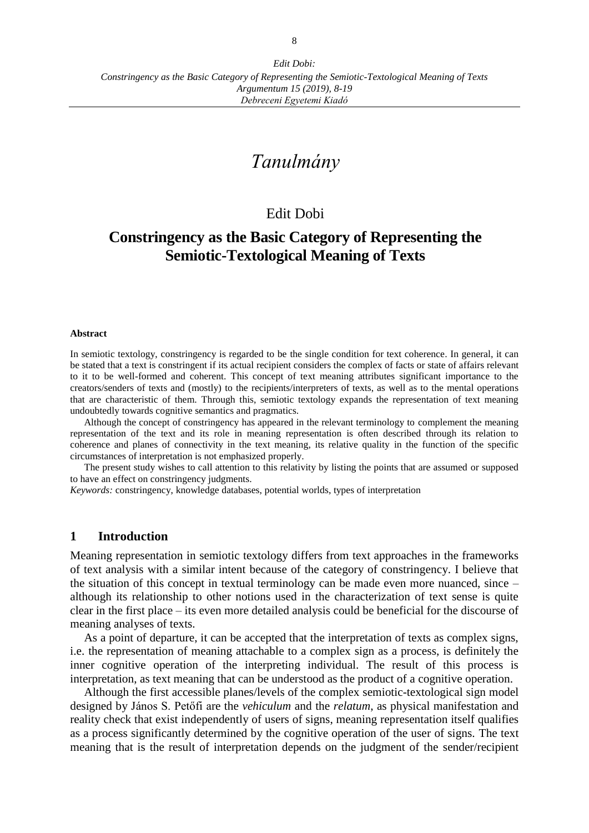# *Tanulmány*

## Edit Dobi

## **Constringency as the Basic Category of Representing the Semiotic-Textological Meaning of Texts**

#### **Abstract**

In semiotic textology, constringency is regarded to be the single condition for text coherence. In general, it can be stated that a text is constringent if its actual recipient considers the complex of facts or state of affairs relevant to it to be well-formed and coherent. This concept of text meaning attributes significant importance to the creators/senders of texts and (mostly) to the recipients/interpreters of texts, as well as to the mental operations that are characteristic of them. Through this, semiotic textology expands the representation of text meaning undoubtedly towards cognitive semantics and pragmatics.

Although the concept of constringency has appeared in the relevant terminology to complement the meaning representation of the text and its role in meaning representation is often described through its relation to coherence and planes of connectivity in the text meaning, its relative quality in the function of the specific circumstances of interpretation is not emphasized properly.

The present study wishes to call attention to this relativity by listing the points that are assumed or supposed to have an effect on constringency judgments.

*Keywords:* constringency, knowledge databases, potential worlds, types of interpretation

#### **1 Introduction**

Meaning representation in semiotic textology differs from text approaches in the frameworks of text analysis with a similar intent because of the category of constringency. I believe that the situation of this concept in textual terminology can be made even more nuanced, since – although its relationship to other notions used in the characterization of text sense is quite clear in the first place – its even more detailed analysis could be beneficial for the discourse of meaning analyses of texts.

As a point of departure, it can be accepted that the interpretation of texts as complex signs, i.e. the representation of meaning attachable to a complex sign as a process, is definitely the inner cognitive operation of the interpreting individual. The result of this process is interpretation, as text meaning that can be understood as the product of a cognitive operation.

Although the first accessible planes/levels of the complex semiotic-textological sign model designed by János S. Petőfi are the *vehiculum* and the *relatum*, as physical manifestation and reality check that exist independently of users of signs, meaning representation itself qualifies as a process significantly determined by the cognitive operation of the user of signs. The text meaning that is the result of interpretation depends on the judgment of the sender/recipient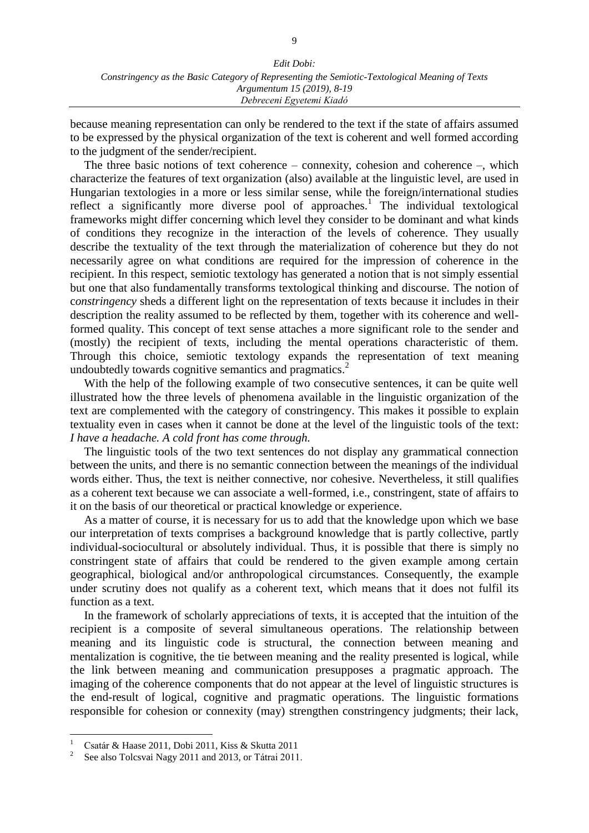because meaning representation can only be rendered to the text if the state of affairs assumed to be expressed by the physical organization of the text is coherent and well formed according to the judgment of the sender/recipient.

The three basic notions of text coherence – connexity, cohesion and coherence –, which characterize the features of text organization (also) available at the linguistic level, are used in Hungarian textologies in a more or less similar sense, while the foreign/international studies reflect a significantly more diverse pool of approaches.<sup>1</sup> The individual textological frameworks might differ concerning which level they consider to be dominant and what kinds of conditions they recognize in the interaction of the levels of coherence. They usually describe the textuality of the text through the materialization of coherence but they do not necessarily agree on what conditions are required for the impression of coherence in the recipient. In this respect, semiotic textology has generated a notion that is not simply essential but one that also fundamentally transforms textological thinking and discourse. The notion of c*onstringency* sheds a different light on the representation of texts because it includes in their description the reality assumed to be reflected by them, together with its coherence and wellformed quality. This concept of text sense attaches a more significant role to the sender and (mostly) the recipient of texts, including the mental operations characteristic of them. Through this choice, semiotic textology expands the representation of text meaning undoubtedly towards cognitive semantics and pragmatics. 2

With the help of the following example of two consecutive sentences, it can be quite well illustrated how the three levels of phenomena available in the linguistic organization of the text are complemented with the category of constringency. This makes it possible to explain textuality even in cases when it cannot be done at the level of the linguistic tools of the text: *I have a headache. A cold front has come through.*

The linguistic tools of the two text sentences do not display any grammatical connection between the units, and there is no semantic connection between the meanings of the individual words either. Thus, the text is neither connective, nor cohesive. Nevertheless, it still qualifies as a coherent text because we can associate a well-formed, i.e., constringent, state of affairs to it on the basis of our theoretical or practical knowledge or experience.

As a matter of course, it is necessary for us to add that the knowledge upon which we base our interpretation of texts comprises a background knowledge that is partly collective, partly individual-sociocultural or absolutely individual. Thus, it is possible that there is simply no constringent state of affairs that could be rendered to the given example among certain geographical, biological and/or anthropological circumstances. Consequently, the example under scrutiny does not qualify as a coherent text, which means that it does not fulfil its function as a text.

In the framework of scholarly appreciations of texts, it is accepted that the intuition of the recipient is a composite of several simultaneous operations. The relationship between meaning and its linguistic code is structural, the connection between meaning and mentalization is cognitive, the tie between meaning and the reality presented is logical, while the link between meaning and communication presupposes a pragmatic approach. The imaging of the coherence components that do not appear at the level of linguistic structures is the end-result of logical, cognitive and pragmatic operations. The linguistic formations responsible for cohesion or connexity (may) strengthen constringency judgments; their lack,

 $\overline{a}$ 

<sup>1</sup> Csatár & Haase 2011, Dobi 2011, Kiss & Skutta 2011

<sup>2</sup> See also Tolcsvai Nagy 2011 and 2013, or Tátrai 2011.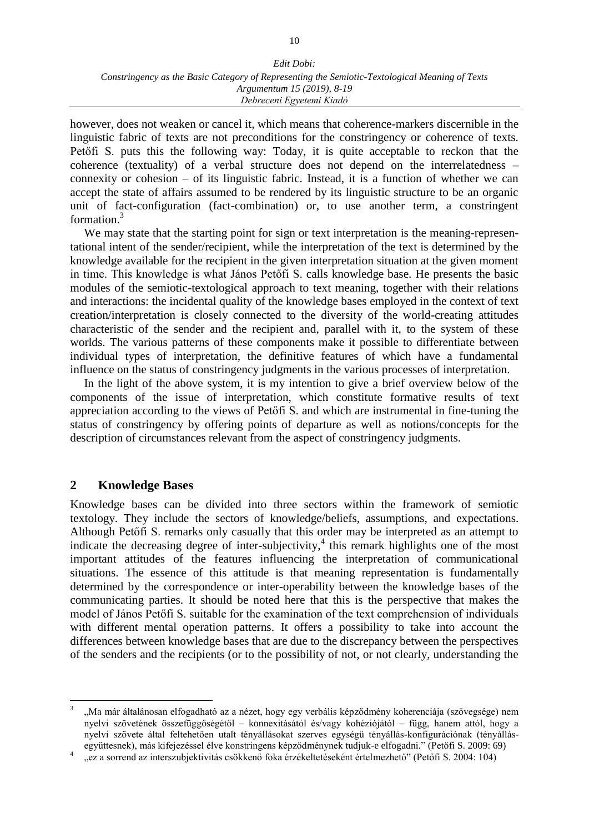however, does not weaken or cancel it, which means that coherence-markers discernible in the linguistic fabric of texts are not preconditions for the constringency or coherence of texts. Petőfi S. puts this the following way: Today, it is quite acceptable to reckon that the coherence (textuality) of a verbal structure does not depend on the interrelatedness – connexity or cohesion – of its linguistic fabric. Instead, it is a function of whether we can accept the state of affairs assumed to be rendered by its linguistic structure to be an organic unit of fact-configuration (fact-combination) or, to use another term, a constringent formation.<sup>3</sup>

We may state that the starting point for sign or text interpretation is the meaning-representational intent of the sender/recipient, while the interpretation of the text is determined by the knowledge available for the recipient in the given interpretation situation at the given moment in time. This knowledge is what János Petőfi S. calls knowledge base. He presents the basic modules of the semiotic-textological approach to text meaning, together with their relations and interactions: the incidental quality of the knowledge bases employed in the context of text creation/interpretation is closely connected to the diversity of the world-creating attitudes characteristic of the sender and the recipient and, parallel with it, to the system of these worlds. The various patterns of these components make it possible to differentiate between individual types of interpretation, the definitive features of which have a fundamental influence on the status of constringency judgments in the various processes of interpretation.

In the light of the above system, it is my intention to give a brief overview below of the components of the issue of interpretation, which constitute formative results of text appreciation according to the views of Petőfi S. and which are instrumental in fine-tuning the status of constringency by offering points of departure as well as notions/concepts for the description of circumstances relevant from the aspect of constringency judgments.

#### **2 Knowledge Bases**

 $\overline{a}$ 

Knowledge bases can be divided into three sectors within the framework of semiotic textology. They include the sectors of knowledge/beliefs, assumptions, and expectations. Although Petőfi S. remarks only casually that this order may be interpreted as an attempt to indicate the decreasing degree of inter-subjectivity, 4 this remark highlights one of the most important attitudes of the features influencing the interpretation of communicational situations. The essence of this attitude is that meaning representation is fundamentally determined by the correspondence or inter-operability between the knowledge bases of the communicating parties. It should be noted here that this is the perspective that makes the model of János Petőfi S. suitable for the examination of the text comprehension of individuals with different mental operation patterns. It offers a possibility to take into account the differences between knowledge bases that are due to the discrepancy between the perspectives of the senders and the recipients (or to the possibility of not, or not clearly, understanding the

<sup>3</sup> "Ma már általánosan elfogadható az a nézet, hogy egy verbális képződmény koherenciája (szövegsége) nem nyelvi szövetének összefüggőségétől – konnexitásától és/vagy kohéziójától – függ, hanem attól, hogy a nyelvi szövete által feltehetően utalt tényállásokat szerves egységű tényállás-konfigurációnak (tényállásegyüttesnek), más kifejezéssel élve konstringens képződménynek tudjuk-e elfogadni." (Petőfi S. 2009: 69)

<sup>4</sup> "ez a sorrend az interszubjektivitás csökkenő foka érzékeltetéseként értelmezhető" (Petőfi S. 2004: 104)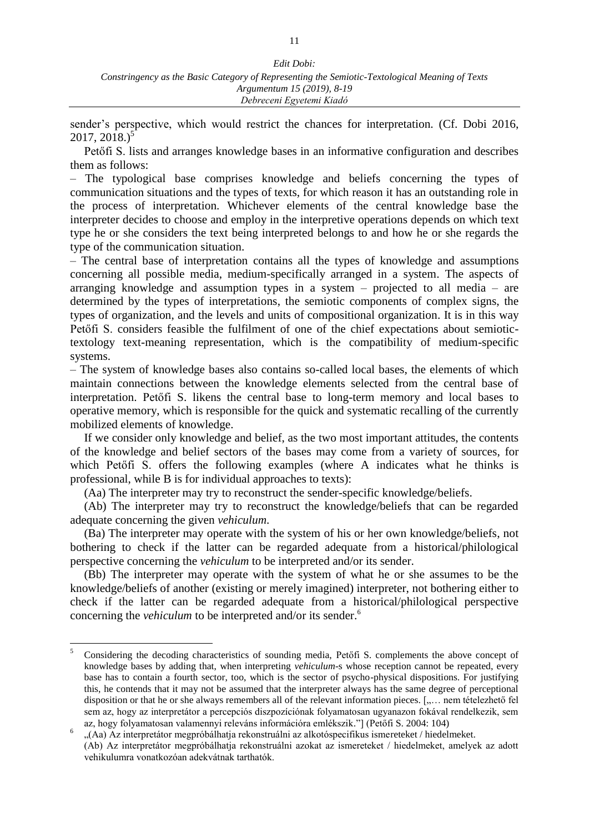sender's perspective, which would restrict the chances for interpretation. (Cf. Dobi 2016,  $2017, 2018.$ <sup>5</sup>

Petőfi S. lists and arranges knowledge bases in an informative configuration and describes them as follows:

– The typological base comprises knowledge and beliefs concerning the types of communication situations and the types of texts, for which reason it has an outstanding role in the process of interpretation. Whichever elements of the central knowledge base the interpreter decides to choose and employ in the interpretive operations depends on which text type he or she considers the text being interpreted belongs to and how he or she regards the type of the communication situation.

– The central base of interpretation contains all the types of knowledge and assumptions concerning all possible media, medium-specifically arranged in a system. The aspects of arranging knowledge and assumption types in a system – projected to all media – are determined by the types of interpretations, the semiotic components of complex signs, the types of organization, and the levels and units of compositional organization. It is in this way Petőfi S. considers feasible the fulfilment of one of the chief expectations about semiotictextology text-meaning representation, which is the compatibility of medium-specific systems.

– The system of knowledge bases also contains so-called local bases, the elements of which maintain connections between the knowledge elements selected from the central base of interpretation. Petőfi S. likens the central base to long-term memory and local bases to operative memory, which is responsible for the quick and systematic recalling of the currently mobilized elements of knowledge.

If we consider only knowledge and belief, as the two most important attitudes, the contents of the knowledge and belief sectors of the bases may come from a variety of sources, for which Petőfi S. offers the following examples (where A indicates what he thinks is professional, while B is for individual approaches to texts):

(Aa) The interpreter may try to reconstruct the sender-specific knowledge/beliefs.

(Ab) The interpreter may try to reconstruct the knowledge/beliefs that can be regarded adequate concerning the given *vehiculum*.

(Ba) The interpreter may operate with the system of his or her own knowledge/beliefs, not bothering to check if the latter can be regarded adequate from a historical/philological perspective concerning the *vehiculum* to be interpreted and/or its sender.

(Bb) The interpreter may operate with the system of what he or she assumes to be the knowledge/beliefs of another (existing or merely imagined) interpreter, not bothering either to check if the latter can be regarded adequate from a historical/philological perspective concerning the *vehiculum* to be interpreted and/or its sender. 6

 $\overline{a}$ 

<sup>5</sup> Considering the decoding characteristics of sounding media, Petőfi S. complements the above concept of knowledge bases by adding that, when interpreting *vehiculum*-s whose reception cannot be repeated, every base has to contain a fourth sector, too, which is the sector of psycho-physical dispositions. For justifying this, he contends that it may not be assumed that the interpreter always has the same degree of perceptional disposition or that he or she always remembers all of the relevant information pieces. [,... nem tételezhető fel sem az, hogy az interpretátor a percepciós diszpozíciónak folyamatosan ugyanazon fokával rendelkezik, sem az, hogy folyamatosan valamennyi releváns információra emlékszik."] (Petőfi S. 2004: 104)

<sup>6</sup> "(Aa) Az interpretátor megpróbálhatja rekonstruálni az alkotóspecifikus ismereteket / hiedelmeket.

<sup>(</sup>Ab) Az interpretátor megpróbálhatja rekonstruálni azokat az ismereteket / hiedelmeket, amelyek az adott vehikulumra vonatkozóan adekvátnak tarthatók.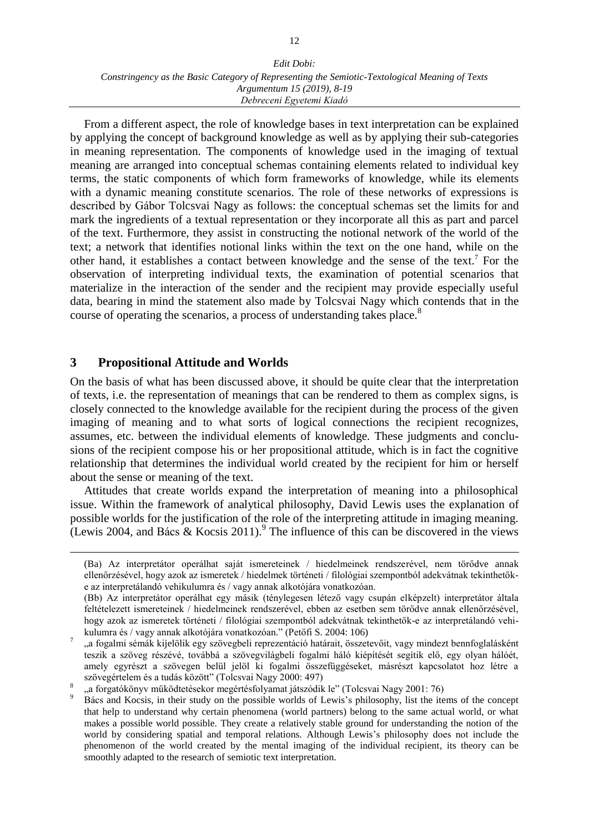From a different aspect, the role of knowledge bases in text interpretation can be explained by applying the concept of background knowledge as well as by applying their sub-categories in meaning representation. The components of knowledge used in the imaging of textual meaning are arranged into conceptual schemas containing elements related to individual key terms, the static components of which form frameworks of knowledge, while its elements with a dynamic meaning constitute scenarios. The role of these networks of expressions is described by Gábor Tolcsvai Nagy as follows: the conceptual schemas set the limits for and mark the ingredients of a textual representation or they incorporate all this as part and parcel of the text. Furthermore, they assist in constructing the notional network of the world of the text; a network that identifies notional links within the text on the one hand, while on the other hand, it establishes a contact between knowledge and the sense of the text. 7 For the observation of interpreting individual texts, the examination of potential scenarios that materialize in the interaction of the sender and the recipient may provide especially useful data, bearing in mind the statement also made by Tolcsvai Nagy which contends that in the course of operating the scenarios, a process of understanding takes place.<sup>8</sup>

### **3 Propositional Attitude and Worlds**

 $\overline{a}$ 

On the basis of what has been discussed above, it should be quite clear that the interpretation of texts, i.e. the representation of meanings that can be rendered to them as complex signs, is closely connected to the knowledge available for the recipient during the process of the given imaging of meaning and to what sorts of logical connections the recipient recognizes, assumes, etc. between the individual elements of knowledge. These judgments and conclusions of the recipient compose his or her propositional attitude, which is in fact the cognitive relationship that determines the individual world created by the recipient for him or herself about the sense or meaning of the text.

Attitudes that create worlds expand the interpretation of meaning into a philosophical issue. Within the framework of analytical philosophy, David Lewis uses the explanation of possible worlds for the justification of the role of the interpreting attitude in imaging meaning. (Lewis 2004, and Bács & Kocsis 2011).<sup>9</sup> The influence of this can be discovered in the views

<sup>(</sup>Ba) Az interpretátor operálhat saját ismereteinek / hiedelmeinek rendszerével, nem törődve annak ellenőrzésével, hogy azok az ismeretek / hiedelmek történeti / filológiai szempontból adekvátnak tekinthetőke az interpretálandó vehikulumra és / vagy annak alkotójára vonatkozóan.

<sup>(</sup>Bb) Az interpretátor operálhat egy másik (ténylegesen létező vagy csupán elképzelt) interpretátor általa feltételezett ismereteinek / hiedelmeinek rendszerével, ebben az esetben sem törődve annak ellenőrzésével, hogy azok az ismeretek történeti / filológiai szempontból adekvátnak tekinthetők-e az interpretálandó vehikulumra és / vagy annak alkotójára vonatkozóan." (Petőfi S. 2004: 106)

<sup>7</sup> "a fogalmi sémák kijelölik egy szövegbeli reprezentáció határait, összetevőit, vagy mindezt bennfoglalásként teszik a szöveg részévé, továbbá a szövegvilágbeli fogalmi háló kiépítését segítik elő, egy olyan hálóét, amely egyrészt a szövegen belül jelöl ki fogalmi összefüggéseket, másrészt kapcsolatot hoz létre a szövegértelem és a tudás között" (Tolcsvai Nagy 2000: 497)

<sup>8</sup> a forgatókönyv működtetésekor megértésfolyamat játszódik le" (Tolcsvai Nagy 2001: 76)

<sup>9</sup> Bács and Kocsis, in their study on the possible worlds of Lewis's philosophy, list the items of the concept that help to understand why certain phenomena (world partners) belong to the same actual world, or what makes a possible world possible. They create a relatively stable ground for understanding the notion of the world by considering spatial and temporal relations. Although Lewis's philosophy does not include the phenomenon of the world created by the mental imaging of the individual recipient, its theory can be smoothly adapted to the research of semiotic text interpretation.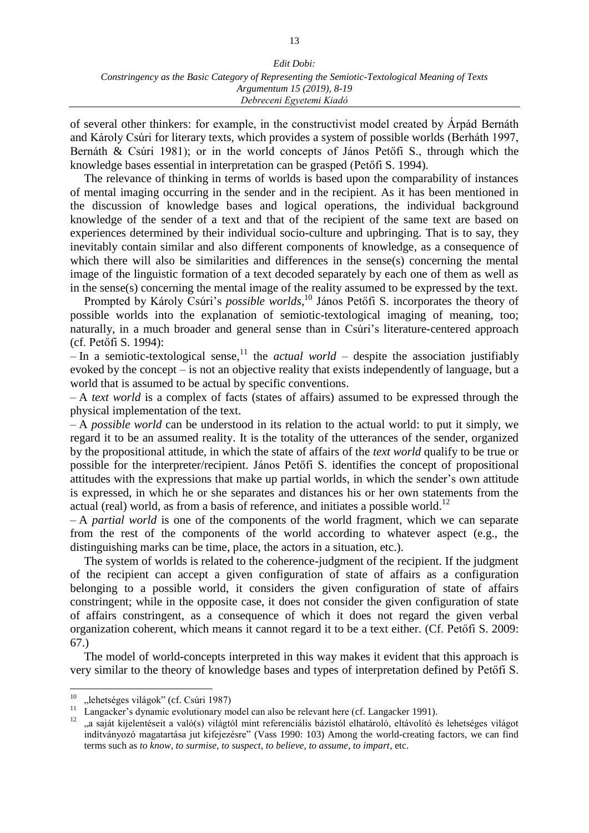#### *Edit Dobi: Constringency as the Basic Category of Representing the Semiotic-Textological Meaning of Texts Argumentum 15 (2019), 8-19 Debreceni Egyetemi Kiadó*

of several other thinkers: for example, in the constructivist model created by Árpád Bernáth and Károly Csúri for literary texts, which provides a system of possible worlds (Berháth 1997, Bernáth & Csúri 1981); or in the world concepts of János Petőfi S., through which the knowledge bases essential in interpretation can be grasped (Petőfi S. 1994).

The relevance of thinking in terms of worlds is based upon the comparability of instances of mental imaging occurring in the sender and in the recipient. As it has been mentioned in the discussion of knowledge bases and logical operations, the individual background knowledge of the sender of a text and that of the recipient of the same text are based on experiences determined by their individual socio-culture and upbringing. That is to say, they inevitably contain similar and also different components of knowledge, as a consequence of which there will also be similarities and differences in the sense(s) concerning the mental image of the linguistic formation of a text decoded separately by each one of them as well as in the sense(s) concerning the mental image of the reality assumed to be expressed by the text.

Prompted by Károly Csúri's *possible worlds*, <sup>10</sup> János Petőfi S. incorporates the theory of possible worlds into the explanation of semiotic-textological imaging of meaning, too; naturally, in a much broader and general sense than in Csúri's literature-centered approach (cf. Petőfi S. 1994):

– In a semiotic-textological sense, <sup>11</sup> the *actual world* – despite the association justifiably evoked by the concept – is not an objective reality that exists independently of language, but a world that is assumed to be actual by specific conventions.

– A *text world* is a complex of facts (states of affairs) assumed to be expressed through the physical implementation of the text.

– A *possible world* can be understood in its relation to the actual world: to put it simply, we regard it to be an assumed reality. It is the totality of the utterances of the sender, organized by the propositional attitude, in which the state of affairs of the *text world* qualify to be true or possible for the interpreter/recipient. János Petőfi S. identifies the concept of propositional attitudes with the expressions that make up partial worlds, in which the sender's own attitude is expressed, in which he or she separates and distances his or her own statements from the actual (real) world, as from a basis of reference, and initiates a possible world.<sup>12</sup>

– A *partial world* is one of the components of the world fragment, which we can separate from the rest of the components of the world according to whatever aspect (e.g., the distinguishing marks can be time, place, the actors in a situation, etc.).

The system of worlds is related to the coherence-judgment of the recipient. If the judgment of the recipient can accept a given configuration of state of affairs as a configuration belonging to a possible world, it considers the given configuration of state of affairs constringent; while in the opposite case, it does not consider the given configuration of state of affairs constringent, as a consequence of which it does not regard the given verbal organization coherent, which means it cannot regard it to be a text either. (Cf. Petőfi S. 2009: 67.)

The model of world-concepts interpreted in this way makes it evident that this approach is very similar to the theory of knowledge bases and types of interpretation defined by Petőfi S.

 $10$ "lehetséges világok" (cf. Csúri 1987)

<sup>&</sup>lt;sup>11</sup> Langacker's dynamic evolutionary model can also be relevant here (cf. Langacker 1991).<br><sup>12</sup> e gaint kijolontósoit a való(a) vilógtól mint referenciális házistól albetéraló altóvalító *(i*)

<sup>&</sup>quot;a saját kijelentéseit a való(s) világtól mint referenciális bázistól elhatároló, eltávolító és lehetséges világot indítványozó magatartása jut kifejezésre" (Vass 1990: 103) Among the world-creating factors, we can find terms such as *to know, to surmise, to suspect, to believe, to assume, to impart,* etc.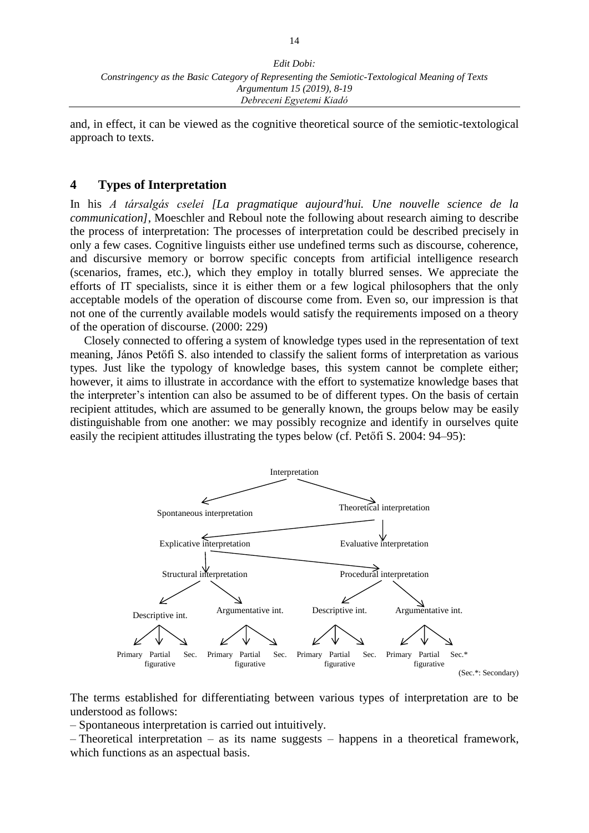and, in effect, it can be viewed as the cognitive theoretical source of the semiotic-textological approach to texts.

#### **4 Types of Interpretation**

In his *A társalgás cselei [La pragmatique aujourd'hui. Une nouvelle science de la communication]*, Moeschler and Reboul note the following about research aiming to describe the process of interpretation: The processes of interpretation could be described precisely in only a few cases. Cognitive linguists either use undefined terms such as discourse, coherence, and discursive memory or borrow specific concepts from artificial intelligence research (scenarios, frames, etc.), which they employ in totally blurred senses. We appreciate the efforts of IT specialists, since it is either them or a few logical philosophers that the only acceptable models of the operation of discourse come from. Even so, our impression is that not one of the currently available models would satisfy the requirements imposed on a theory of the operation of discourse. (2000: 229)

Closely connected to offering a system of knowledge types used in the representation of text meaning, János Petőfi S. also intended to classify the salient forms of interpretation as various types. Just like the typology of knowledge bases, this system cannot be complete either; however, it aims to illustrate in accordance with the effort to systematize knowledge bases that the interpreter's intention can also be assumed to be of different types. On the basis of certain recipient attitudes, which are assumed to be generally known, the groups below may be easily distinguishable from one another: we may possibly recognize and identify in ourselves quite easily the recipient attitudes illustrating the types below (cf. Petőfi S. 2004: 94–95):



The terms established for differentiating between various types of interpretation are to be understood as follows:

– Spontaneous interpretation is carried out intuitively.

– Theoretical interpretation – as its name suggests – happens in a theoretical framework, which functions as an aspectual basis.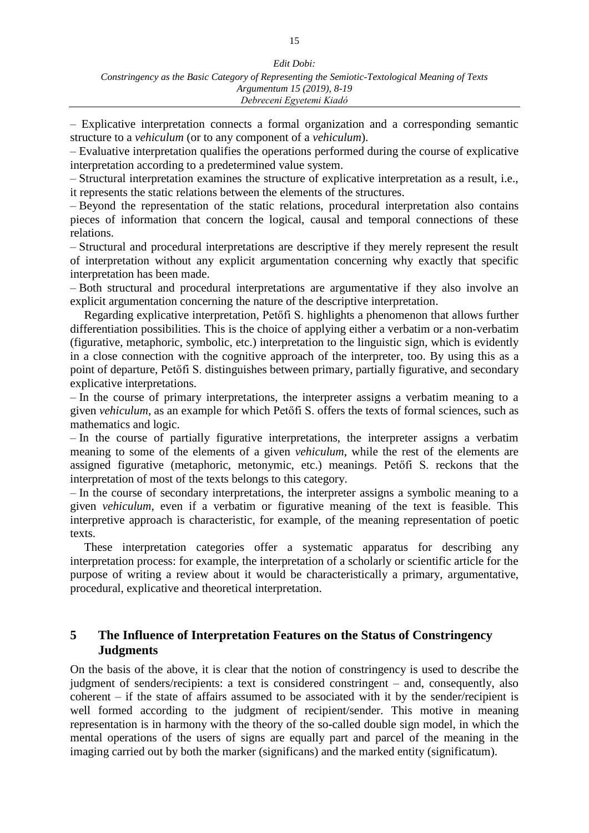– Explicative interpretation connects a formal organization and a corresponding semantic structure to a *vehiculum* (or to any component of a *vehiculum*).

– Evaluative interpretation qualifies the operations performed during the course of explicative interpretation according to a predetermined value system.

– Structural interpretation examines the structure of explicative interpretation as a result, i.e., it represents the static relations between the elements of the structures.

– Beyond the representation of the static relations, procedural interpretation also contains pieces of information that concern the logical, causal and temporal connections of these relations.

– Structural and procedural interpretations are descriptive if they merely represent the result of interpretation without any explicit argumentation concerning why exactly that specific interpretation has been made.

– Both structural and procedural interpretations are argumentative if they also involve an explicit argumentation concerning the nature of the descriptive interpretation.

Regarding explicative interpretation, Petőfi S. highlights a phenomenon that allows further differentiation possibilities. This is the choice of applying either a verbatim or a non-verbatim (figurative, metaphoric, symbolic, etc.) interpretation to the linguistic sign, which is evidently in a close connection with the cognitive approach of the interpreter, too. By using this as a point of departure, Petőfi S. distinguishes between primary, partially figurative, and secondary explicative interpretations.

– In the course of primary interpretations, the interpreter assigns a verbatim meaning to a given *vehiculum*, as an example for which Petőfi S. offers the texts of formal sciences, such as mathematics and logic.

– In the course of partially figurative interpretations, the interpreter assigns a verbatim meaning to some of the elements of a given *vehiculum*, while the rest of the elements are assigned figurative (metaphoric, metonymic, etc.) meanings. Petőfi S. reckons that the interpretation of most of the texts belongs to this category.

– In the course of secondary interpretations, the interpreter assigns a symbolic meaning to a given *vehiculum*, even if a verbatim or figurative meaning of the text is feasible. This interpretive approach is characteristic, for example, of the meaning representation of poetic texts.

These interpretation categories offer a systematic apparatus for describing any interpretation process: for example, the interpretation of a scholarly or scientific article for the purpose of writing a review about it would be characteristically a primary, argumentative, procedural, explicative and theoretical interpretation.

### **5 The Influence of Interpretation Features on the Status of Constringency Judgments**

On the basis of the above, it is clear that the notion of constringency is used to describe the judgment of senders/recipients: a text is considered constringent – and, consequently, also coherent – if the state of affairs assumed to be associated with it by the sender/recipient is well formed according to the judgment of recipient/sender. This motive in meaning representation is in harmony with the theory of the so-called double sign model, in which the mental operations of the users of signs are equally part and parcel of the meaning in the imaging carried out by both the marker (significans) and the marked entity (significatum).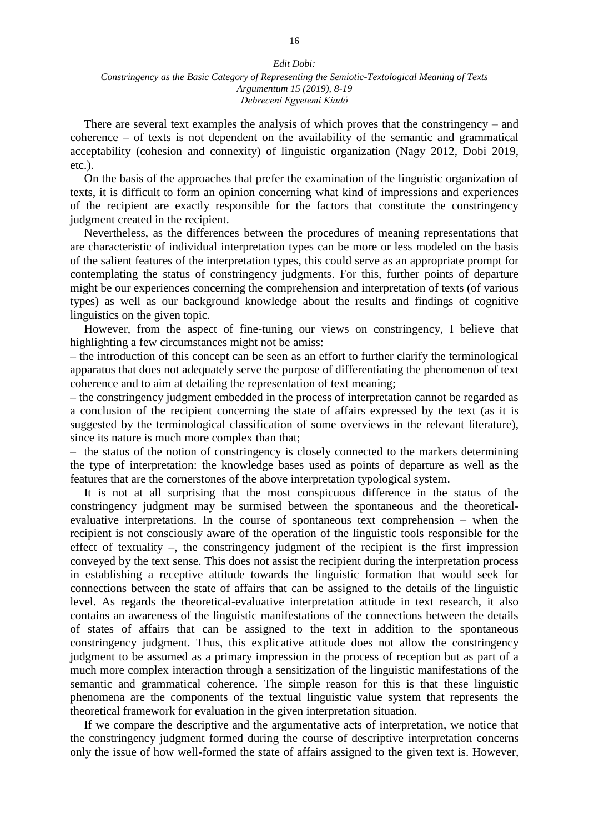| Edit Dobi:                                                                                     |
|------------------------------------------------------------------------------------------------|
| Constringency as the Basic Category of Representing the Semiotic-Textological Meaning of Texts |
| Argumentum 15 (2019), 8-19                                                                     |
| Debreceni Egyetemi Kiadó                                                                       |

There are several text examples the analysis of which proves that the constringency – and coherence – of texts is not dependent on the availability of the semantic and grammatical acceptability (cohesion and connexity) of linguistic organization (Nagy 2012, Dobi 2019, etc.).

On the basis of the approaches that prefer the examination of the linguistic organization of texts, it is difficult to form an opinion concerning what kind of impressions and experiences of the recipient are exactly responsible for the factors that constitute the constringency judgment created in the recipient.

Nevertheless, as the differences between the procedures of meaning representations that are characteristic of individual interpretation types can be more or less modeled on the basis of the salient features of the interpretation types, this could serve as an appropriate prompt for contemplating the status of constringency judgments. For this, further points of departure might be our experiences concerning the comprehension and interpretation of texts (of various types) as well as our background knowledge about the results and findings of cognitive linguistics on the given topic.

However, from the aspect of fine-tuning our views on constringency, I believe that highlighting a few circumstances might not be amiss:

– the introduction of this concept can be seen as an effort to further clarify the terminological apparatus that does not adequately serve the purpose of differentiating the phenomenon of text coherence and to aim at detailing the representation of text meaning;

– the constringency judgment embedded in the process of interpretation cannot be regarded as a conclusion of the recipient concerning the state of affairs expressed by the text (as it is suggested by the terminological classification of some overviews in the relevant literature), since its nature is much more complex than that;

– the status of the notion of constringency is closely connected to the markers determining the type of interpretation: the knowledge bases used as points of departure as well as the features that are the cornerstones of the above interpretation typological system.

It is not at all surprising that the most conspicuous difference in the status of the constringency judgment may be surmised between the spontaneous and the theoreticalevaluative interpretations. In the course of spontaneous text comprehension – when the recipient is not consciously aware of the operation of the linguistic tools responsible for the effect of textuality –, the constringency judgment of the recipient is the first impression conveyed by the text sense. This does not assist the recipient during the interpretation process in establishing a receptive attitude towards the linguistic formation that would seek for connections between the state of affairs that can be assigned to the details of the linguistic level. As regards the theoretical-evaluative interpretation attitude in text research, it also contains an awareness of the linguistic manifestations of the connections between the details of states of affairs that can be assigned to the text in addition to the spontaneous constringency judgment. Thus, this explicative attitude does not allow the constringency judgment to be assumed as a primary impression in the process of reception but as part of a much more complex interaction through a sensitization of the linguistic manifestations of the semantic and grammatical coherence. The simple reason for this is that these linguistic phenomena are the components of the textual linguistic value system that represents the theoretical framework for evaluation in the given interpretation situation.

If we compare the descriptive and the argumentative acts of interpretation, we notice that the constringency judgment formed during the course of descriptive interpretation concerns only the issue of how well-formed the state of affairs assigned to the given text is. However,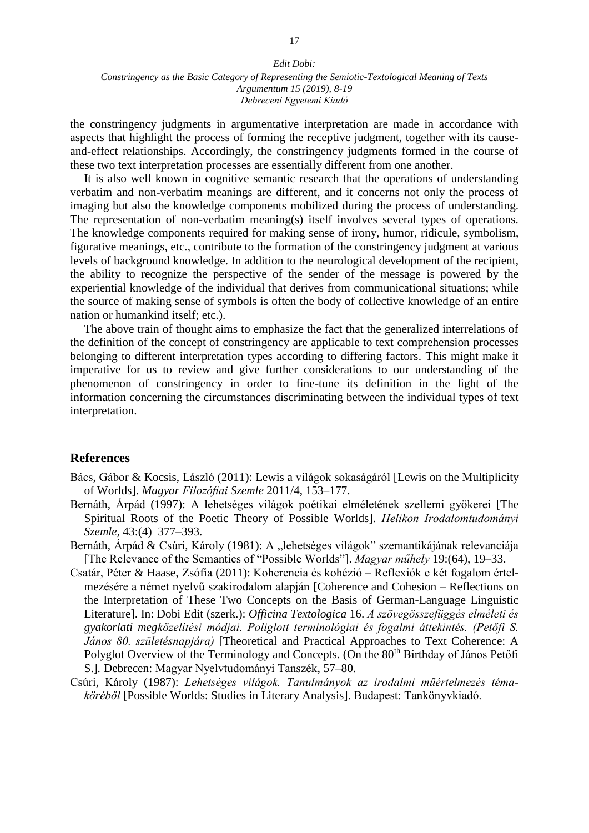the constringency judgments in argumentative interpretation are made in accordance with aspects that highlight the process of forming the receptive judgment, together with its causeand-effect relationships. Accordingly, the constringency judgments formed in the course of these two text interpretation processes are essentially different from one another.

It is also well known in cognitive semantic research that the operations of understanding verbatim and non-verbatim meanings are different, and it concerns not only the process of imaging but also the knowledge components mobilized during the process of understanding. The representation of non-verbatim meaning(s) itself involves several types of operations. The knowledge components required for making sense of irony, humor, ridicule, symbolism, figurative meanings, etc., contribute to the formation of the constringency judgment at various levels of background knowledge. In addition to the neurological development of the recipient, the ability to recognize the perspective of the sender of the message is powered by the experiential knowledge of the individual that derives from communicational situations; while the source of making sense of symbols is often the body of collective knowledge of an entire nation or humankind itself; etc.).

The above train of thought aims to emphasize the fact that the generalized interrelations of the definition of the concept of constringency are applicable to text comprehension processes belonging to different interpretation types according to differing factors. This might make it imperative for us to review and give further considerations to our understanding of the phenomenon of constringency in order to fine-tune its definition in the light of the information concerning the circumstances discriminating between the individual types of text interpretation.

#### **References**

- Bács, Gábor & Kocsis, László (2011): Lewis a világok sokaságáról [Lewis on the Multiplicity of Worlds]. *Magyar Filozófiai Szemle* 2011/4, 153–177.
- Bernáth, Árpád (1997): A lehetséges világok poétikai elméletének szellemi gyökerei [The Spiritual Roots of the Poetic Theory of Possible Worlds]. *Helikon Irodalomtudományi Szemle,* 43:(4) 377–393.
- Bernáth, Árpád & Csúri, Károly (1981): A "lehetséges világok" szemantikájának relevanciája [The Relevance of the Semantics of "Possible Worlds"]. *Magyar műhely* 19:(64), 19–33.
- Csatár, Péter & Haase, Zsófia (2011): Koherencia és kohézió [Reflexiók e két fogalom értel](http://mnytud.arts.unideb.hu/ot/16/08csatarpeterhaasezsofia57-80.pdf)[mezésére a német nyelvű szakirodalom alapján](http://mnytud.arts.unideb.hu/ot/16/08csatarpeterhaasezsofia57-80.pdf) [Coherence and Cohesion – Reflections on the Interpretation of These Two Concepts on the Basis of German-Language Linguistic Literature]. In: Dobi Edit (szerk.): *Officina Textologica* 16. *A szövegösszefüggés elméleti és gyakorlati megközelítési módjai. Poliglott terminológiai és fogalmi áttekintés. (Petőfi S. János 80. születésnapjára)* [Theoretical and Practical Approaches to Text Coherence: A Polyglot Overview of the Terminology and Concepts. (On the 80<sup>th</sup> Birthday of János Petőfi S.]*.* Debrecen: Magyar Nyelvtudományi Tanszék, 57–80.
- Csúri, Károly (1987): *Lehetséges világok. Tanulmányok az irodalmi műértelmezés témaköréből* [Possible Worlds: Studies in Literary Analysis]. Budapest: Tankönyvkiadó.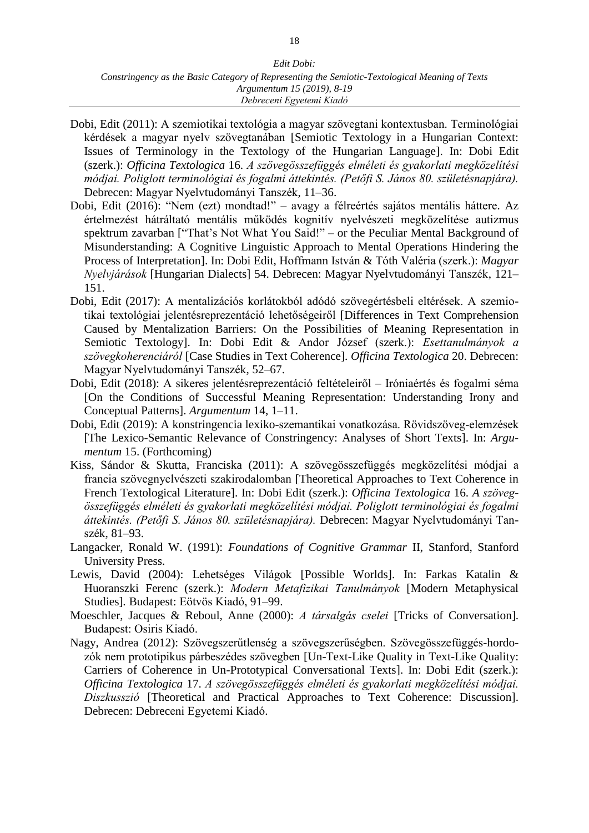- Dobi, Edit (2011): A szemiotikai textológia a magyar szövegtani kontextusban. Terminológiai kérdések a magyar nyelv szövegtanában [Semiotic Textology in a Hungarian Context: Issues of Terminology in the Textology of the Hungarian Language]. In: Dobi Edit (szerk.): *Officina Textologica* 16. *A szövegösszefüggés elméleti és gyakorlati megközelítési módjai. Poliglott terminológiai és fogalmi áttekintés. (Petőfi S. János 80. születésnapjára).* Debrecen: Magyar Nyelvtudományi Tanszék, 11–36.
- Dobi, Edit (2016): "Nem (ezt) mondtad!" avagy a félreértés sajátos mentális háttere. Az értelmezést hátráltató mentális működés kognitív nyelvészeti megközelítése autizmus spektrum zavarban ["That's Not What You Said!" – or the Peculiar Mental Background of Misunderstanding: A Cognitive Linguistic Approach to Mental Operations Hindering the Process of Interpretation]. In: Dobi Edit, Hoffmann István & Tóth Valéria (szerk.): *Magyar Nyelvjárások* [Hungarian Dialects] 54. Debrecen: Magyar Nyelvtudományi Tanszék, 121– 151.
- Dobi, Edit (2017): A mentalizációs korlátokból adódó szövegértésbeli eltérések. A szemiotikai textológiai jelentésreprezentáció lehetőségeiről [Differences in Text Comprehension Caused by Mentalization Barriers: On the Possibilities of Meaning Representation in Semiotic Textology]. In: Dobi Edit & Andor József (szerk.): *Esettanulmányok a szövegkoherenciáról* [Case Studies in Text Coherence]*. Officina Textologica* 20. Debrecen: Magyar Nyelvtudományi Tanszék, 52–67.
- Dobi, Edit (2018): A sikeres jelentésreprezentáció feltételeiről Iróniaértés és fogalmi séma [On the Conditions of Successful Meaning Representation: Understanding Irony and Conceptual Patterns]. *Argumentum* 14, 1–11.
- Dobi, Edit (2019): A konstringencia lexiko-szemantikai vonatkozása. Rövidszöveg-elemzések [The Lexico-Semantic Relevance of Constringency: Analyses of Short Texts]. In: *Argumentum* 15. (Forthcoming)
- Kiss, Sándor & Skutta, Franciska (2011): [A szövegösszefüggés megközelítési módjai a](http://mnytud.arts.unideb.hu/ot/16/09kisssandorskuttafranciska81-93.pdf)  [francia szövegnyelvészeti szakirodalomban](http://mnytud.arts.unideb.hu/ot/16/09kisssandorskuttafranciska81-93.pdf) [Theoretical Approaches to Text Coherence in French Textological Literature]. In: Dobi Edit (szerk.): *Officina Textologica* 16. *A szövegösszefüggés elméleti és gyakorlati megközelítési módjai. Poliglott terminológiai és fogalmi áttekintés. (Petőfi S. János 80. születésnapjára).* Debrecen: Magyar Nyelvtudományi Tanszék, 81–93.
- Langacker, Ronald W. (1991): *Foundations of Cognitive Grammar* II, Stanford, Stanford University Press.
- Lewis, David (2004): Lehetséges Világok [Possible Worlds]. In: Farkas Katalin & Huoranszki Ferenc (szerk.): *Modern Metafizikai Tanulmányok* [Modern Metaphysical Studies]*.* Budapest: Eötvös Kiadó, 91–99.
- Moeschler, Jacques & Reboul, Anne (2000): *A társalgás cselei* [Tricks of Conversation]*.*  Budapest: Osiris Kiadó.
- Nagy, Andrea (2012): Szövegszerűtlenség a szövegszerűségben. Szövegösszefüggés-hordozók nem prototipikus párbeszédes szövegben [Un-Text-Like Quality in Text-Like Quality: Carriers of Coherence in Un-Prototypical Conversational Texts]. In: Dobi Edit (szerk.): *Officina Textologica* 17. *A szövegösszefüggés elméleti és gyakorlati megközelítési módjai. Diszkusszió* [Theoretical and Practical Approaches to Text Coherence: Discussion]. Debrecen: Debreceni Egyetemi Kiadó.